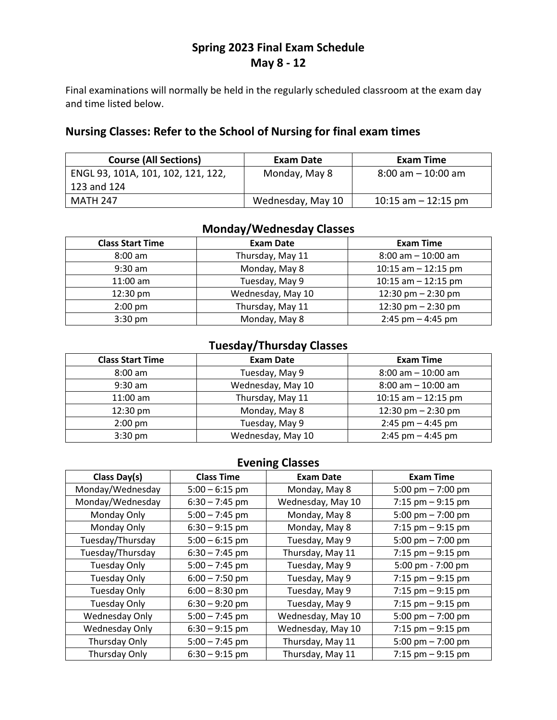# **Spring 2023 Final Exam Schedule May 8 - 12**

Final examinations will normally be held in the regularly scheduled classroom at the exam day and time listed below.

### **Nursing Classes: Refer to the School of Nursing for final exam times**

| <b>Course (All Sections)</b>       | Exam Date         | Exam Time                            |
|------------------------------------|-------------------|--------------------------------------|
| ENGL 93, 101A, 101, 102, 121, 122, | Monday, May 8     | $8:00 \text{ am} - 10:00 \text{ am}$ |
| 123 and 124                        |                   |                                      |
| MATH 247                           | Wednesday, May 10 | $10:15$ am $-12:15$ pm               |

## **Monday/Wednesday Classes**

| <b>Class Start Time</b> | <b>Exam Date</b>  | <b>Exam Time</b>      |
|-------------------------|-------------------|-----------------------|
| $8:00$ am               | Thursday, May 11  | $8:00$ am $-10:00$ am |
| $9:30$ am               | Monday, May 8     | 10:15 am $-$ 12:15 pm |
| $11:00$ am              | Tuesday, May 9    | 10:15 am $-$ 12:15 pm |
| $12:30$ pm              | Wednesday, May 10 | 12:30 pm $-$ 2:30 pm  |
| $2:00$ pm               | Thursday, May 11  | 12:30 pm $-$ 2:30 pm  |
| $3:30$ pm               | Monday, May 8     | $2:45$ pm $-4:45$ pm  |

## **Tuesday/Thursday Classes**

| <b>Class Start Time</b> | <b>Exam Date</b>  | <b>Exam Time</b>      |
|-------------------------|-------------------|-----------------------|
| $8:00$ am               | Tuesday, May 9    | $8:00$ am $-10:00$ am |
| $9:30$ am               | Wednesday, May 10 | $8:00$ am $-10:00$ am |
| $11:00$ am              | Thursday, May 11  | 10:15 am $-$ 12:15 pm |
| $12:30$ pm              | Monday, May 8     | 12:30 pm $-$ 2:30 pm  |
| $2:00$ pm               | Tuesday, May 9    | $2:45$ pm $-4:45$ pm  |
| $3:30$ pm               | Wednesday, May 10 | $2:45$ pm $-4:45$ pm  |

## **Evening Classes**

| Class Day(s)        | <b>Class Time</b> | <b>Exam Date</b>  | <b>Exam Time</b>     |
|---------------------|-------------------|-------------------|----------------------|
| Monday/Wednesday    | $5:00 - 6:15$ pm  | Monday, May 8     | 5:00 pm $- 7:00$ pm  |
| Monday/Wednesday    | $6:30 - 7:45$ pm  | Wednesday, May 10 | 7:15 pm $-9:15$ pm   |
| Monday Only         | $5:00 - 7:45$ pm  | Monday, May 8     | 5:00 pm $- 7:00$ pm  |
| Monday Only         | $6:30 - 9:15$ pm  | Monday, May 8     | 7:15 pm $-9:15$ pm   |
| Tuesday/Thursday    | $5:00 - 6:15$ pm  | Tuesday, May 9    | 5:00 pm $- 7:00$ pm  |
| Tuesday/Thursday    | $6:30 - 7:45$ pm  | Thursday, May 11  | $7:15$ pm $-9:15$ pm |
| <b>Tuesday Only</b> | $5:00 - 7:45$ pm  | Tuesday, May 9    | 5:00 pm - 7:00 pm    |
| <b>Tuesday Only</b> | $6:00 - 7:50$ pm  | Tuesday, May 9    | 7:15 $pm - 9:15$ pm  |
| <b>Tuesday Only</b> | $6:00 - 8:30$ pm  | Tuesday, May 9    | 7:15 $pm - 9:15$ pm  |
| <b>Tuesday Only</b> | $6:30 - 9:20$ pm  | Tuesday, May 9    | $7:15$ pm $-9:15$ pm |
| Wednesday Only      | $5:00 - 7:45$ pm  | Wednesday, May 10 | 5:00 pm $- 7:00$ pm  |
| Wednesday Only      | $6:30 - 9:15$ pm  | Wednesday, May 10 | 7:15 pm $-9:15$ pm   |
| Thursday Only       | $5:00 - 7:45$ pm  | Thursday, May 11  | 5:00 pm $- 7:00$ pm  |
| Thursday Only       | $6:30 - 9:15$ pm  | Thursday, May 11  | $7:15$ pm $-9:15$ pm |